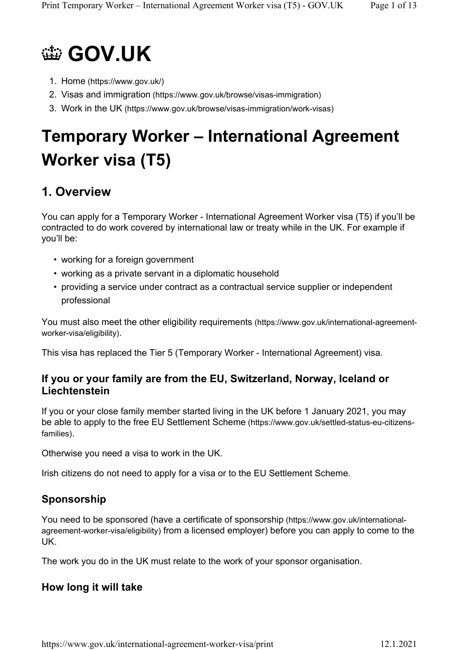

- 1. Home (https://www.gov.uk/)
- 2. Visas and immigration (https://www.gov.uk/browse/visas-immigration)
- 3. Work in the UK (https://www.gov.uk/browse/visas-immigration/work-visas)

# **Temporary Worker – International Agreement Worker visa (T5)**

# **1. Overview**

You can apply for a Temporary Worker - International Agreement Worker visa (T5) if you'll be contracted to do work covered by international law or treaty while in the UK. For example if you'll be:

- working for a foreign government
- working as a private servant in a diplomatic household
- providing a service under contract as a contractual service supplier or independent professional

You must also meet the other eligibility requirements (https://www.gov.uk/international-agreementworker-visa/eligibility).

This visa has replaced the Tier 5 (Temporary Worker - International Agreement) visa.

#### **If you or your family are from the EU, Switzerland, Norway, Iceland or Liechtenstein**

If you or your close family member started living in the UK before 1 January 2021, you may be able to apply to the free EU Settlement Scheme (https://www.gov.uk/settled-status-eu-citizensfamilies).

Otherwise you need a visa to work in the UK.

Irish citizens do not need to apply for a visa or to the EU Settlement Scheme.

# **Sponsorship**

You need to be sponsored (have a certificate of sponsorship (https://www.gov.uk/internationalagreement-worker-visa/eligibility) from a licensed employer) before you can apply to come to the UK.

The work you do in the UK must relate to the work of your sponsor organisation.

### **How long it will take**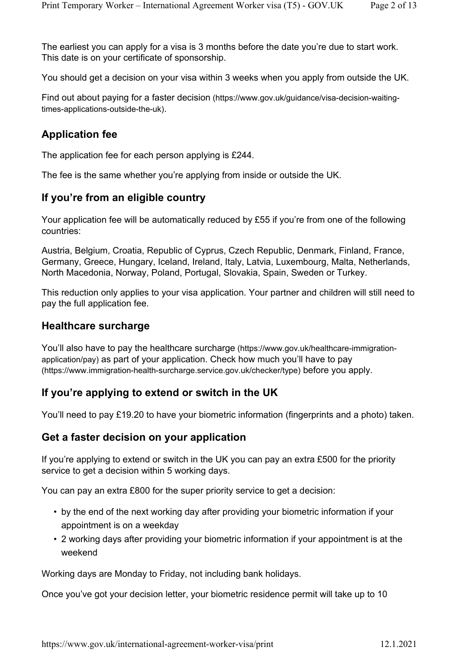The earliest you can apply for a visa is 3 months before the date you're due to start work. This date is on your certificate of sponsorship.

You should get a decision on your visa within 3 weeks when you apply from outside the UK.

Find out about paying for a faster decision (https://www.gov.uk/guidance/visa-decision-waitingtimes-applications-outside-the-uk).

#### **Application fee**

The application fee for each person applying is £244.

The fee is the same whether you're applying from inside or outside the UK.

#### **If you're from an eligible country**

Your application fee will be automatically reduced by £55 if you're from one of the following countries:

Austria, Belgium, Croatia, Republic of Cyprus, Czech Republic, Denmark, Finland, France, Germany, Greece, Hungary, Iceland, Ireland, Italy, Latvia, Luxembourg, Malta, Netherlands, North Macedonia, Norway, Poland, Portugal, Slovakia, Spain, Sweden or Turkey.

This reduction only applies to your visa application. Your partner and children will still need to pay the full application fee.

#### **Healthcare surcharge**

You'll also have to pay the healthcare surcharge (https://www.gov.uk/healthcare-immigrationapplication/pay) as part of your application. Check how much you'll have to pay (https://www.immigration-health-surcharge.service.gov.uk/checker/type) before you apply.

#### **If you're applying to extend or switch in the UK**

You'll need to pay £19.20 to have your biometric information (fingerprints and a photo) taken.

#### **Get a faster decision on your application**

If you're applying to extend or switch in the UK you can pay an extra £500 for the priority service to get a decision within 5 working days.

You can pay an extra £800 for the super priority service to get a decision:

- by the end of the next working day after providing your biometric information if your appointment is on a weekday
- 2 working days after providing your biometric information if your appointment is at the weekend

Working days are Monday to Friday, not including bank holidays.

Once you've got your decision letter, your biometric residence permit will take up to 10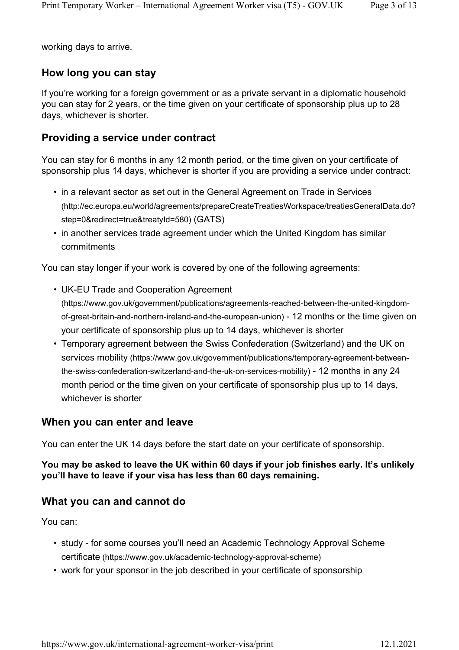working days to arrive.

#### **How long you can stay**

If you're working for a foreign government or as a private servant in a diplomatic household you can stay for 2 years, or the time given on your certificate of sponsorship plus up to 28 days, whichever is shorter.

#### **Providing a service under contract**

You can stay for 6 months in any 12 month period, or the time given on your certificate of sponsorship plus 14 days, whichever is shorter if you are providing a service under contract:

- in a relevant sector as set out in the General Agreement on Trade in Services (http://ec.europa.eu/world/agreements/prepareCreateTreatiesWorkspace/treatiesGeneralData.do? step=0&redirect=true&treatyId=580) (GATS)
- in another services trade agreement under which the United Kingdom has similar commitments

You can stay longer if your work is covered by one of the following agreements:

• UK-EU Trade and Cooperation Agreement

(https://www.gov.uk/government/publications/agreements-reached-between-the-united-kingdomof-great-britain-and-northern-ireland-and-the-european-union) - 12 months or the time given on your certificate of sponsorship plus up to 14 days, whichever is shorter

• Temporary agreement between the Swiss Confederation (Switzerland) and the UK on services mobility (https://www.gov.uk/government/publications/temporary-agreement-betweenthe-swiss-confederation-switzerland-and-the-uk-on-services-mobility) - 12 months in any 24 month period or the time given on your certificate of sponsorship plus up to 14 days, whichever is shorter

#### **When you can enter and leave**

You can enter the UK 14 days before the start date on your certificate of sponsorship.

#### **You may be asked to leave the UK within 60 days if your job finishes early. It's unlikely you'll have to leave if your visa has less than 60 days remaining.**

#### **What you can and cannot do**

You can:

- study for some courses you'll need an Academic Technology Approval Scheme certificate (https://www.gov.uk/academic-technology-approval-scheme)
- work for your sponsor in the job described in your certificate of sponsorship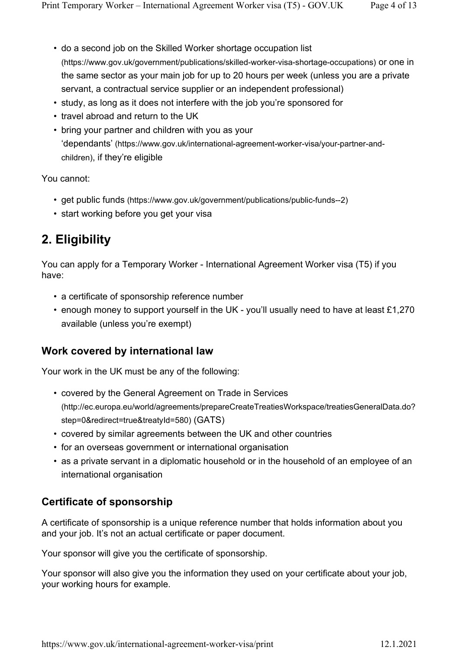- do a second job on the Skilled Worker shortage occupation list (https://www.gov.uk/government/publications/skilled-worker-visa-shortage-occupations) or one in the same sector as your main job for up to 20 hours per week (unless you are a private servant, a contractual service supplier or an independent professional)
- study, as long as it does not interfere with the job you're sponsored for
- travel abroad and return to the UK
- bring your partner and children with you as your 'dependants' (https://www.gov.uk/international-agreement-worker-visa/your-partner-andchildren), if they're eligible

You cannot:

- get public funds (https://www.gov.uk/government/publications/public-funds--2)
- start working before you get your visa

# **2. Eligibility**

You can apply for a Temporary Worker - International Agreement Worker visa (T5) if you have:

- a certificate of sponsorship reference number
- enough money to support yourself in the UK you'll usually need to have at least £1,270 available (unless you're exempt)

#### **Work covered by international law**

Your work in the UK must be any of the following:

- covered by the General Agreement on Trade in Services (http://ec.europa.eu/world/agreements/prepareCreateTreatiesWorkspace/treatiesGeneralData.do? step=0&redirect=true&treatyId=580) (GATS)
- covered by similar agreements between the UK and other countries
- for an overseas government or international organisation
- as a private servant in a diplomatic household or in the household of an employee of an international organisation

#### **Certificate of sponsorship**

A certificate of sponsorship is a unique reference number that holds information about you and your job. It's not an actual certificate or paper document.

Your sponsor will give you the certificate of sponsorship.

Your sponsor will also give you the information they used on your certificate about your job, your working hours for example.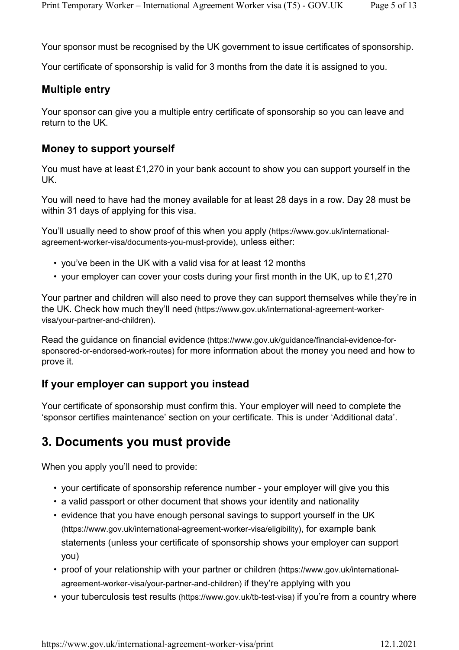Your sponsor must be recognised by the UK government to issue certificates of sponsorship.

Your certificate of sponsorship is valid for 3 months from the date it is assigned to you.

#### **Multiple entry**

Your sponsor can give you a multiple entry certificate of sponsorship so you can leave and return to the UK.

#### **Money to support yourself**

You must have at least £1,270 in your bank account to show you can support yourself in the UK.

You will need to have had the money available for at least 28 days in a row. Day 28 must be within 31 days of applying for this visa.

You'll usually need to show proof of this when you apply (https://www.gov.uk/internationalagreement-worker-visa/documents-you-must-provide), unless either:

- you've been in the UK with a valid visa for at least 12 months
- your employer can cover your costs during your first month in the UK, up to £1,270

Your partner and children will also need to prove they can support themselves while they're in the UK. Check how much they'll need (https://www.gov.uk/international-agreement-workervisa/your-partner-and-children).

Read the guidance on financial evidence (https://www.gov.uk/guidance/financial-evidence-forsponsored-or-endorsed-work-routes) for more information about the money you need and how to prove it.

#### **If your employer can support you instead**

Your certificate of sponsorship must confirm this. Your employer will need to complete the 'sponsor certifies maintenance' section on your certificate. This is under 'Additional data'.

# **3. Documents you must provide**

When you apply you'll need to provide:

- your certificate of sponsorship reference number your employer will give you this
- a valid passport or other document that shows your identity and nationality
- evidence that you have enough personal savings to support yourself in the UK (https://www.gov.uk/international-agreement-worker-visa/eligibility), for example bank statements (unless your certificate of sponsorship shows your employer can support you)
- proof of your relationship with your partner or children (https://www.gov.uk/internationalagreement-worker-visa/your-partner-and-children) if they're applying with you
- your tuberculosis test results (https://www.gov.uk/tb-test-visa) if you're from a country where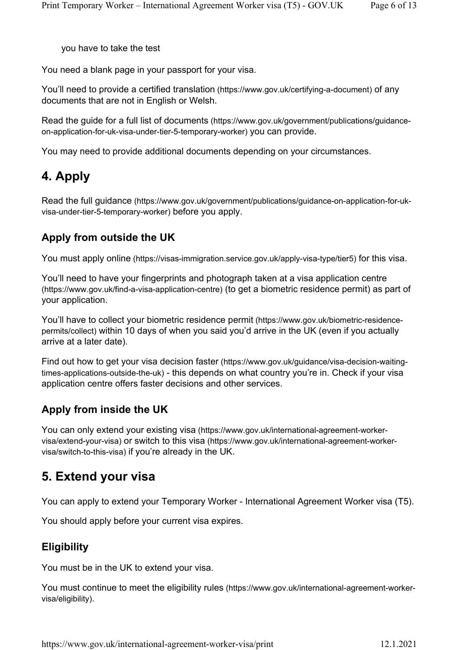you have to take the test

You need a blank page in your passport for your visa.

You'll need to provide a certified translation (https://www.gov.uk/certifying-a-document) of any documents that are not in English or Welsh.

Read the guide for a full list of documents (https://www.gov.uk/government/publications/guidanceon-application-for-uk-visa-under-tier-5-temporary-worker) you can provide.

You may need to provide additional documents depending on your circumstances.

# **4. Apply**

Read the full guidance (https://www.gov.uk/government/publications/guidance-on-application-for-ukvisa-under-tier-5-temporary-worker) before you apply.

#### **Apply from outside the UK**

You must apply online (https://visas-immigration.service.gov.uk/apply-visa-type/tier5) for this visa.

You'll need to have your fingerprints and photograph taken at a visa application centre (https://www.gov.uk/find-a-visa-application-centre) (to get a biometric residence permit) as part of your application.

You'll have to collect your biometric residence permit (https://www.gov.uk/biometric-residencepermits/collect) within 10 days of when you said you'd arrive in the UK (even if you actually arrive at a later date).

Find out how to get your visa decision faster (https://www.gov.uk/guidance/visa-decision-waitingtimes-applications-outside-the-uk) - this depends on what country you're in. Check if your visa application centre offers faster decisions and other services.

#### **Apply from inside the UK**

You can only extend your existing visa (https://www.gov.uk/international-agreement-workervisa/extend-your-visa) or switch to this visa (https://www.gov.uk/international-agreement-workervisa/switch-to-this-visa) if you're already in the UK.

# **5. Extend your visa**

You can apply to extend your Temporary Worker - International Agreement Worker visa (T5).

You should apply before your current visa expires.

#### **Eligibility**

You must be in the UK to extend your visa.

You must continue to meet the eligibility rules (https://www.gov.uk/international-agreement-workervisa/eligibility).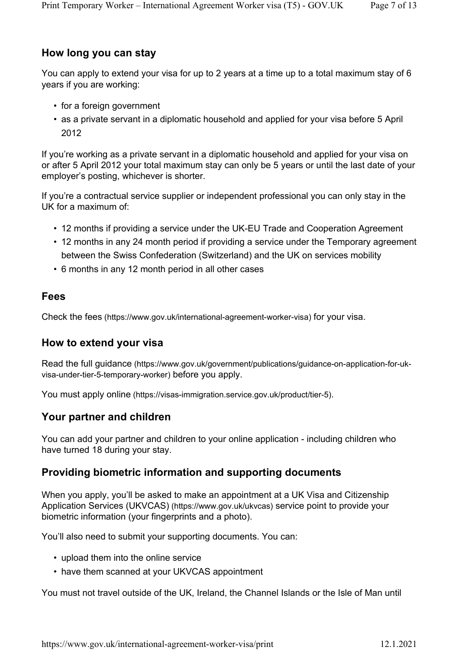#### **How long you can stay**

You can apply to extend your visa for up to 2 years at a time up to a total maximum stay of 6 years if you are working:

- for a foreign government
- as a private servant in a diplomatic household and applied for your visa before 5 April 2012

If you're working as a private servant in a diplomatic household and applied for your visa on or after 5 April 2012 your total maximum stay can only be 5 years or until the last date of your employer's posting, whichever is shorter.

If you're a contractual service supplier or independent professional you can only stay in the UK for a maximum of:

- 12 months if providing a service under the UK-EU Trade and Cooperation Agreement
- 12 months in any 24 month period if providing a service under the Temporary agreement between the Swiss Confederation (Switzerland) and the UK on services mobility
- 6 months in any 12 month period in all other cases

#### **Fees**

Check the fees (https://www.gov.uk/international-agreement-worker-visa) for your visa.

#### **How to extend your visa**

Read the full guidance (https://www.gov.uk/government/publications/guidance-on-application-for-ukvisa-under-tier-5-temporary-worker) before you apply.

You must apply online (https://visas-immigration.service.gov.uk/product/tier-5).

#### **Your partner and children**

You can add your partner and children to your online application - including children who have turned 18 during your stay.

#### **Providing biometric information and supporting documents**

When you apply, you'll be asked to make an appointment at a UK Visa and Citizenship Application Services (UKVCAS) (https://www.gov.uk/ukvcas) service point to provide your biometric information (your fingerprints and a photo).

You'll also need to submit your supporting documents. You can:

- upload them into the online service
- have them scanned at your UKVCAS appointment

You must not travel outside of the UK, Ireland, the Channel Islands or the Isle of Man until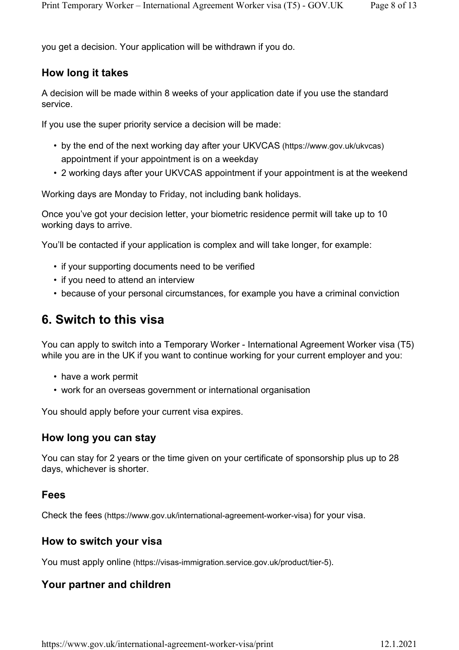you get a decision. Your application will be withdrawn if you do.

#### **How long it takes**

A decision will be made within 8 weeks of your application date if you use the standard service.

If you use the super priority service a decision will be made:

- by the end of the next working day after your UKVCAS (https://www.gov.uk/ukvcas) appointment if your appointment is on a weekday
- 2 working days after your UKVCAS appointment if your appointment is at the weekend

Working days are Monday to Friday, not including bank holidays.

Once you've got your decision letter, your biometric residence permit will take up to 10 working days to arrive.

You'll be contacted if your application is complex and will take longer, for example:

- if your supporting documents need to be verified
- if you need to attend an interview
- because of your personal circumstances, for example you have a criminal conviction

### **6. Switch to this visa**

You can apply to switch into a Temporary Worker - International Agreement Worker visa (T5) while you are in the UK if you want to continue working for your current employer and you:

- have a work permit
- work for an overseas government or international organisation

You should apply before your current visa expires.

#### **How long you can stay**

You can stay for 2 years or the time given on your certificate of sponsorship plus up to 28 days, whichever is shorter.

#### **Fees**

Check the fees (https://www.gov.uk/international-agreement-worker-visa) for your visa.

#### **How to switch your visa**

You must apply online (https://visas-immigration.service.gov.uk/product/tier-5).

#### **Your partner and children**

https://www.gov.uk/international-agreement-worker-visa/print 12.1.2021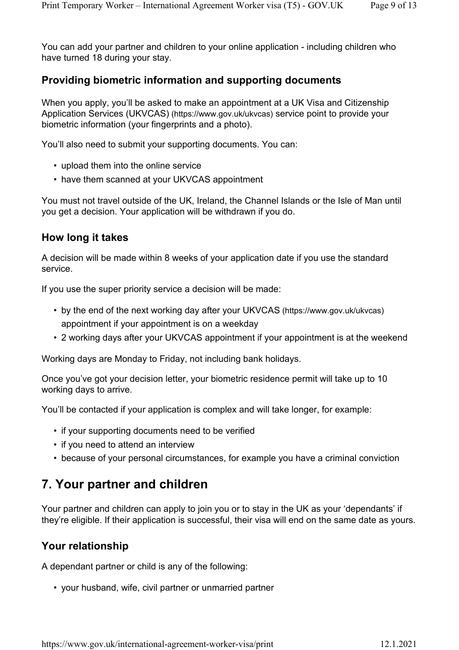You can add your partner and children to your online application - including children who have turned 18 during your stay.

#### **Providing biometric information and supporting documents**

When you apply, you'll be asked to make an appointment at a UK Visa and Citizenship Application Services (UKVCAS) (https://www.gov.uk/ukvcas) service point to provide your biometric information (your fingerprints and a photo).

You'll also need to submit your supporting documents. You can:

- upload them into the online service
- have them scanned at your UKVCAS appointment

You must not travel outside of the UK, Ireland, the Channel Islands or the Isle of Man until you get a decision. Your application will be withdrawn if you do.

#### **How long it takes**

A decision will be made within 8 weeks of your application date if you use the standard service.

If you use the super priority service a decision will be made:

- by the end of the next working day after your UKVCAS (https://www.gov.uk/ukvcas) appointment if your appointment is on a weekday
- 2 working days after your UKVCAS appointment if your appointment is at the weekend

Working days are Monday to Friday, not including bank holidays.

Once you've got your decision letter, your biometric residence permit will take up to 10 working days to arrive.

You'll be contacted if your application is complex and will take longer, for example:

- if your supporting documents need to be verified
- if you need to attend an interview
- because of your personal circumstances, for example you have a criminal conviction

# **7. Your partner and children**

Your partner and children can apply to join you or to stay in the UK as your 'dependants' if they're eligible. If their application is successful, their visa will end on the same date as yours.

#### **Your relationship**

A dependant partner or child is any of the following:

• your husband, wife, civil partner or unmarried partner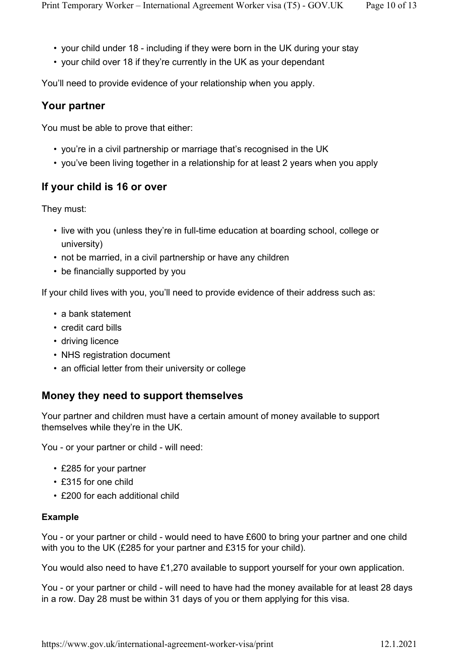- your child under 18 including if they were born in the UK during your stay
- your child over 18 if they're currently in the UK as your dependant

You'll need to provide evidence of your relationship when you apply.

#### **Your partner**

You must be able to prove that either:

- you're in a civil partnership or marriage that's recognised in the UK
- you've been living together in a relationship for at least 2 years when you apply

### **If your child is 16 or over**

They must:

- live with you (unless they're in full-time education at boarding school, college or university)
- not be married, in a civil partnership or have any children
- be financially supported by you

If your child lives with you, you'll need to provide evidence of their address such as:

- a bank statement
- credit card bills
- driving licence
- NHS registration document
- an official letter from their university or college

#### **Money they need to support themselves**

Your partner and children must have a certain amount of money available to support themselves while they're in the UK.

You - or your partner or child - will need:

- £285 for your partner
- £315 for one child
- £200 for each additional child

#### **Example**

You - or your partner or child - would need to have £600 to bring your partner and one child with you to the UK (£285 for your partner and £315 for your child).

You would also need to have £1,270 available to support yourself for your own application.

You - or your partner or child - will need to have had the money available for at least 28 days in a row. Day 28 must be within 31 days of you or them applying for this visa.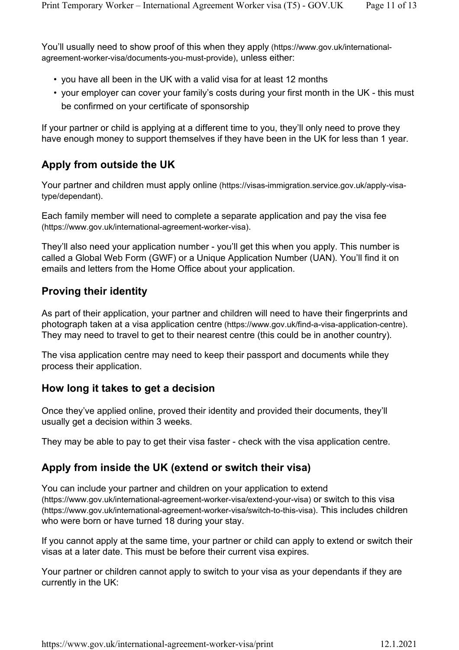You'll usually need to show proof of this when they apply (https://www.gov.uk/internationalagreement-worker-visa/documents-you-must-provide), unless either:

- you have all been in the UK with a valid visa for at least 12 months
- your employer can cover your family's costs during your first month in the UK this must be confirmed on your certificate of sponsorship

If your partner or child is applying at a different time to you, they'll only need to prove they have enough money to support themselves if they have been in the UK for less than 1 year.

### **Apply from outside the UK**

Your partner and children must apply online (https://visas-immigration.service.gov.uk/apply-visatype/dependant).

Each family member will need to complete a separate application and pay the visa fee (https://www.gov.uk/international-agreement-worker-visa).

They'll also need your application number - you'll get this when you apply. This number is called a Global Web Form (GWF) or a Unique Application Number (UAN). You'll find it on emails and letters from the Home Office about your application.

#### **Proving their identity**

As part of their application, your partner and children will need to have their fingerprints and photograph taken at a visa application centre (https://www.gov.uk/find-a-visa-application-centre). They may need to travel to get to their nearest centre (this could be in another country).

The visa application centre may need to keep their passport and documents while they process their application.

#### **How long it takes to get a decision**

Once they've applied online, proved their identity and provided their documents, they'll usually get a decision within 3 weeks.

They may be able to pay to get their visa faster - check with the visa application centre.

#### **Apply from inside the UK (extend or switch their visa)**

You can include your partner and children on your application to extend (https://www.gov.uk/international-agreement-worker-visa/extend-your-visa) or switch to this visa (https://www.gov.uk/international-agreement-worker-visa/switch-to-this-visa). This includes children who were born or have turned 18 during your stay.

If you cannot apply at the same time, your partner or child can apply to extend or switch their visas at a later date. This must be before their current visa expires.

Your partner or children cannot apply to switch to your visa as your dependants if they are currently in the UK: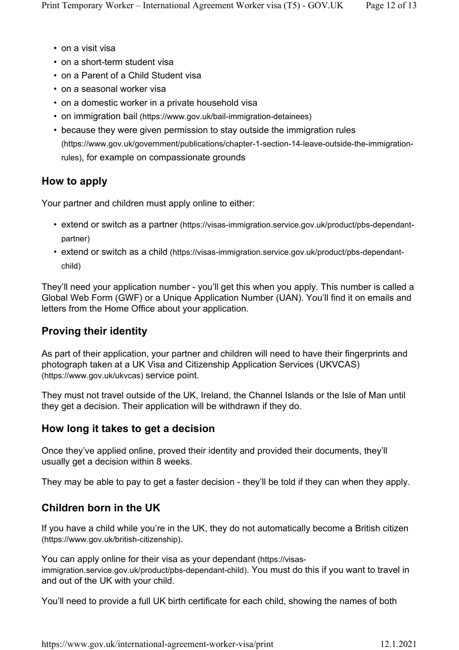- on a visit visa
- on a short-term student visa
- on a Parent of a Child Student visa
- on a seasonal worker visa
- on a domestic worker in a private household visa
- on immigration bail (https://www.gov.uk/bail-immigration-detainees)
- because they were given permission to stay outside the immigration rules (https://www.gov.uk/government/publications/chapter-1-section-14-leave-outside-the-immigrationrules), for example on compassionate grounds

# **How to apply**

Your partner and children must apply online to either:

- extend or switch as a partner (https://visas-immigration.service.gov.uk/product/pbs-dependantpartner)
- extend or switch as a child (https://visas-immigration.service.gov.uk/product/pbs-dependantchild)

They'll need your application number - you'll get this when you apply. This number is called a Global Web Form (GWF) or a Unique Application Number (UAN). You'll find it on emails and letters from the Home Office about your application.

# **Proving their identity**

As part of their application, your partner and children will need to have their fingerprints and photograph taken at a UK Visa and Citizenship Application Services (UKVCAS) (https://www.gov.uk/ukvcas) service point.

They must not travel outside of the UK, Ireland, the Channel Islands or the Isle of Man until they get a decision. Their application will be withdrawn if they do.

# **How long it takes to get a decision**

Once they've applied online, proved their identity and provided their documents, they'll usually get a decision within 8 weeks.

They may be able to pay to get a faster decision - they'll be told if they can when they apply.

# **Children born in the UK**

If you have a child while you're in the UK, they do not automatically become a British citizen (https://www.gov.uk/british-citizenship).

You can apply online for their visa as your dependant (https://visasimmigration.service.gov.uk/product/pbs-dependant-child). You must do this if you want to travel in and out of the UK with your child.

You'll need to provide a full UK birth certificate for each child, showing the names of both